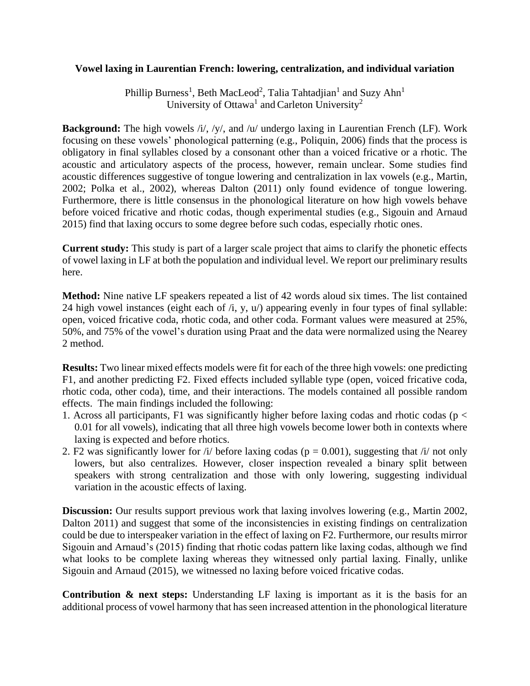## **Vowel laxing in Laurentian French: lowering, centralization, and individual variation**

Phillip Burness<sup>1</sup>, Beth MacLeod<sup>2</sup>, Talia Tahtadjian<sup>1</sup> and Suzy Ahn<sup>1</sup> University of Ottawa<sup>1</sup> and Carleton University<sup>2</sup>

**Background:** The high vowels /i/, /y/, and /u/ undergo laxing in Laurentian French (LF). Work focusing on these vowels' phonological patterning (e.g., Poliquin, 2006) finds that the process is obligatory in final syllables closed by a consonant other than a voiced fricative or a rhotic. The acoustic and articulatory aspects of the process, however, remain unclear. Some studies find acoustic differences suggestive of tongue lowering and centralization in lax vowels (e.g., Martin, 2002; Polka et al., 2002), whereas Dalton (2011) only found evidence of tongue lowering. Furthermore, there is little consensus in the phonological literature on how high vowels behave before voiced fricative and rhotic codas, though experimental studies (e.g., Sigouin and Arnaud 2015) find that laxing occurs to some degree before such codas, especially rhotic ones.

**Current study:** This study is part of a larger scale project that aims to clarify the phonetic effects of vowel laxing in LF at both the population and individual level. We report our preliminary results here.

**Method:** Nine native LF speakers repeated a list of 42 words aloud six times. The list contained 24 high vowel instances (eight each of /i, y, u/) appearing evenly in four types of final syllable: open, voiced fricative coda, rhotic coda, and other coda. Formant values were measured at 25%, 50%, and 75% of the vowel's duration using Praat and the data were normalized using the Nearey 2 method.

**Results:** Two linear mixed effects models were fit for each of the three high vowels: one predicting F1, and another predicting F2. Fixed effects included syllable type (open, voiced fricative coda, rhotic coda, other coda), time, and their interactions. The models contained all possible random effects. The main findings included the following:

- 1. Across all participants, F1 was significantly higher before laxing codas and rhotic codas ( $p <$ 0.01 for all vowels), indicating that all three high vowels become lower both in contexts where laxing is expected and before rhotics.
- 2. F2 was significantly lower for  $\frac{1}{2}$  before laxing codas (p = 0.001), suggesting that  $\frac{1}{2}$  not only lowers, but also centralizes. However, closer inspection revealed a binary split between speakers with strong centralization and those with only lowering, suggesting individual variation in the acoustic effects of laxing.

**Discussion:** Our results support previous work that laxing involves lowering (e.g., Martin 2002, Dalton 2011) and suggest that some of the inconsistencies in existing findings on centralization could be due to interspeaker variation in the effect of laxing on F2. Furthermore, our results mirror Sigouin and Arnaud's (2015) finding that rhotic codas pattern like laxing codas, although we find what looks to be complete laxing whereas they witnessed only partial laxing. Finally, unlike Sigouin and Arnaud (2015), we witnessed no laxing before voiced fricative codas.

**Contribution & next steps:** Understanding LF laxing is important as it is the basis for an additional process of vowel harmony that has seen increased attention in the phonological literature